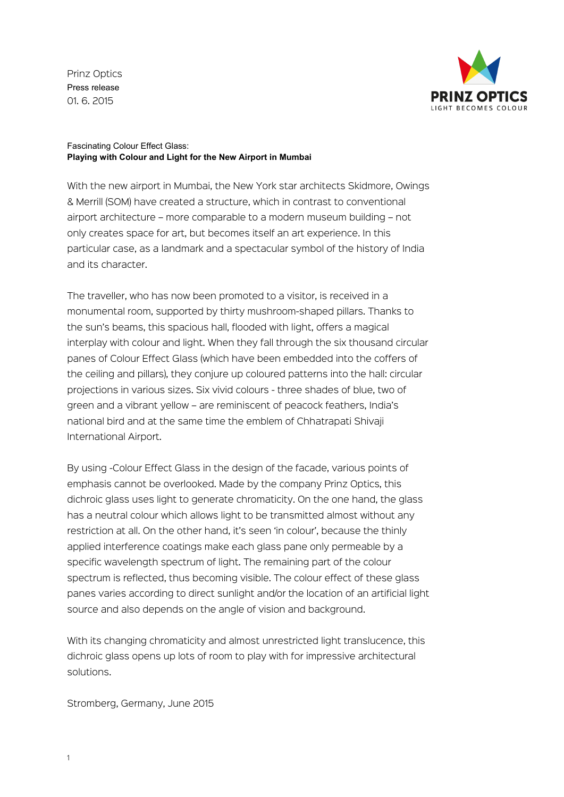Prinz Optics Press release 01. 6. 2015



## Fascinating Colour Effect Glass: **Playing with Colour and Light for the New Airport in Mumbai**

With the new airport in Mumbai, the New York star architects Skidmore, Owings & Merrill (SOM) have created a structure, which in contrast to conventional airport architecture – more comparable to a modern museum building – not only creates space for art, but becomes itself an art experience. In this particular case, as a landmark and a spectacular symbol of the history of India and its character.

The traveller, who has now been promoted to a visitor, is received in a monumental room, supported by thirty mushroom-shaped pillars. Thanks to the sun's beams, this spacious hall, flooded with light, offers a magical interplay with colour and light. When they fall through the six thousand circular panes of Colour Effect Glass (which have been embedded into the coffers of the ceiling and pillars), they conjure up coloured patterns into the hall: circular projections in various sizes. Six vivid colours - three shades of blue, two of green and a vibrant yellow – are reminiscent of peacock feathers, India's national bird and at the same time the emblem of Chhatrapati Shivaji International Airport.

By using -Colour Effect Glass in the design of the facade, various points of emphasis cannot be overlooked. Made by the company Prinz Optics, this dichroic glass uses light to generate chromaticity. On the one hand, the glass has a neutral colour which allows light to be transmitted almost without any restriction at all. On the other hand, it's seen 'in colour', because the thinly applied interference coatings make each glass pane only permeable by a specific wavelength spectrum of light. The remaining part of the colour spectrum is reflected, thus becoming visible. The colour effect of these glass panes varies according to direct sunlight and/or the location of an artificial light source and also depends on the angle of vision and background.

With its changing chromaticity and almost unrestricted light translucence, this dichroic glass opens up lots of room to play with for impressive architectural solutions.

Stromberg, Germany, June 2015